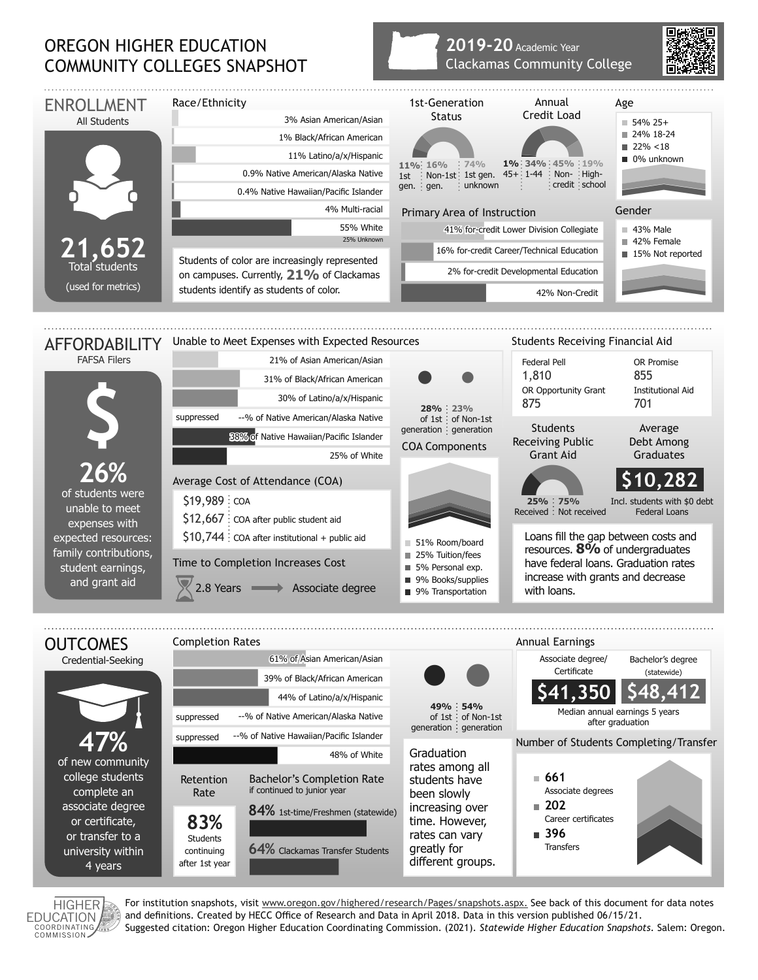## OREGON HIGHER EDUCATION COMMUNITY COLLEGES SNAPSHOT

## **2019-20** Academic Year Clackamas Community College



HIGHER **EDUCATION** COORDINATING

For institution snapshots, visit www.oregon.gov/highered/research/Pages/snapshots.aspx. See back of this document for data notes and definitions. Created by HECC Office of Research and Data in April 2018. Data in this version published 06/15/21. Suggested citation: Oregon Higher Education Coordinating Commission. (2021). *Statewide Higher Education Snapshots*. Salem: Oregon.